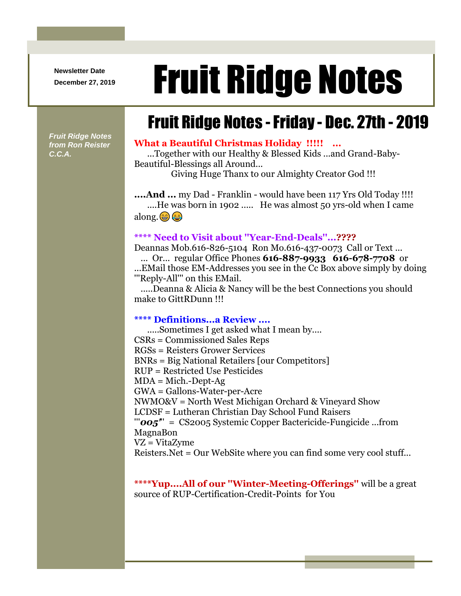**Newsletter Date**

# Newsletter Date **Fruit Ridge Notes**

## Fruit Ridge Notes -Friday - Dec. 27th - 2019

*Fruit Ridge Notes from Ron Reister C.C.A.*

#### **What a Beautiful Christmas Holiday !!!!! ...**

...Together with our Healthy & Blessed Kids ...and Grand-Baby-Beautiful-Blessings all Around...

Giving Huge Thanx to our Almighty Creator God !!!

**....And ...** my Dad - Franklin - would have been 117 Yrs Old Today !!!! ....He was born in 1902 ..... He was almost 50 yrs-old when I came along. @ @

#### **\*\*\*\* Need to Visit about ''Year-End-Deals''...????**

Deannas Mob.616-826-5104 Ron Mo.616-437-0073 Call or Text ...

... Or... regular Office Phones **616-887-9933 616-678-7708** or ...EMail those EM-Addresses you see in the Cc Box above simply by doing '''Reply-All''' on this EMail.

 .....Deanna & Alicia & Nancy will be the best Connections you should make to GittRDunn !!!

#### **\*\*\*\* Definitions...a Review ....**

.....Sometimes I get asked what I mean by.... CSRs = Commissioned Sales Reps RGSs = Reisters Grower Services BNRs = Big National Retailers [our Competitors] RUP = Restricted Use Pesticides  $MDA = Mich.-Dept-Ag$ GWA = Gallons-Water-per-Acre NWMO&V = North West Michigan Orchard & Vineyard Show LCDSF = Lutheran Christian Day School Fund Raisers '''*005'*'' = CS2005 Systemic Copper Bactericide-Fungicide ...from MagnaBon VZ = VitaZyme Reisters.Net = Our WebSite where you can find some very cool stuff...

#### **\*\*\*\*Yup....All of our ''Winter-Meeting-Offerings''** will be a great source of RUP-Certification-Credit-Points for You